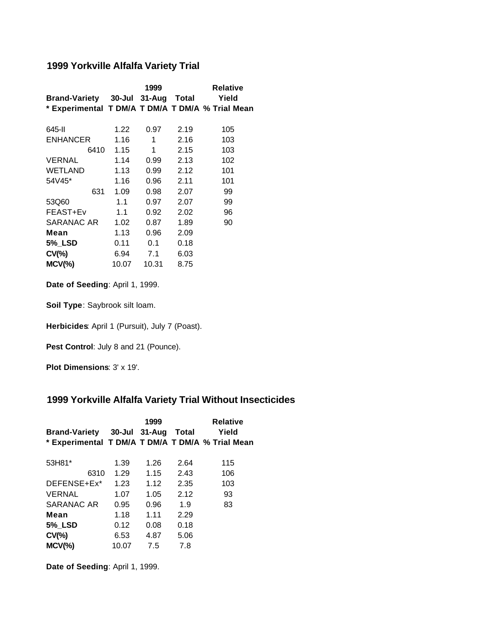## **1999 Yorkville Alfalfa Variety Trial**

|                                                  |       | 1999  |      | <b>Relative</b> |
|--------------------------------------------------|-------|-------|------|-----------------|
| Brand-Variety 30-Jul 31-Aug Total                |       |       |      | Yield           |
| * Experimental T DM/A T DM/A T DM/A % Trial Mean |       |       |      |                 |
| 645-II                                           | 1.22  | 0.97  | 2.19 | 105             |
| <b>ENHANCER</b>                                  | 1.16  | 1     | 2.16 | 103             |
| 6410                                             | 1.15  | 1     | 2.15 | 103             |
| <b>VERNAL</b>                                    | 1.14  | 0.99  | 2.13 | 102             |
| <b>WETLAND</b>                                   | 1.13  | 0.99  | 2.12 | 101             |
| 54V45*                                           | 1.16  | 0.96  | 2.11 | 101             |
| 631                                              | 1.09  | 0.98  | 2.07 | 99              |
| 53Q60                                            | 1.1   | 0.97  | 2.07 | 99              |
| FEAST+Ev                                         | 1.1   | 0.92  | 2.02 | 96              |
| SARANAC AR                                       | 1.02  | 0.87  | 1.89 | 90              |
| Mean                                             | 1.13  | 0.96  | 2.09 |                 |
| 5% LSD                                           | 0.11  | 0.1   | 0.18 |                 |
| $CV(\% )$                                        | 6.94  | 7.1   | 6.03 |                 |
| $MCV(\%)$                                        | 10.07 | 10.31 | 8.75 |                 |

**Date of Seeding**: April 1, 1999.

**Soil Type**: Saybrook silt loam.

**Herbicides**: April 1 (Pursuit), July 7 (Poast).

Pest Control: July 8 and 21 (Pounce).

**Plot Dimensions**: 3' x 19'.

## **1999 Yorkville Alfalfa Variety Trial Without Insecticides**

|       | 1999 |      | <b>Relative</b><br>Yield                                                                      |
|-------|------|------|-----------------------------------------------------------------------------------------------|
| 1.39  | 1.26 | 2.64 | 115                                                                                           |
| 1.23  | 1.12 | 2.35 | 106<br>103                                                                                    |
| 1.07  | 1.05 | 2.12 | 93                                                                                            |
| 0.95  | 0.96 | 1.9  | 83                                                                                            |
| 1.18  | 1.11 | 2.29 |                                                                                               |
| 0.12  | 0.08 | 0.18 |                                                                                               |
| 6.53  | 4.87 | 5.06 |                                                                                               |
| 10.07 | 7.5  | 7.8  |                                                                                               |
|       | 1.29 | 1.15 | Brand-Variety 30-Jul 31-Aug Total<br>* Experimental T DM/A T DM/A T DM/A % Trial Mean<br>2.43 |

**Date of Seeding**: April 1, 1999.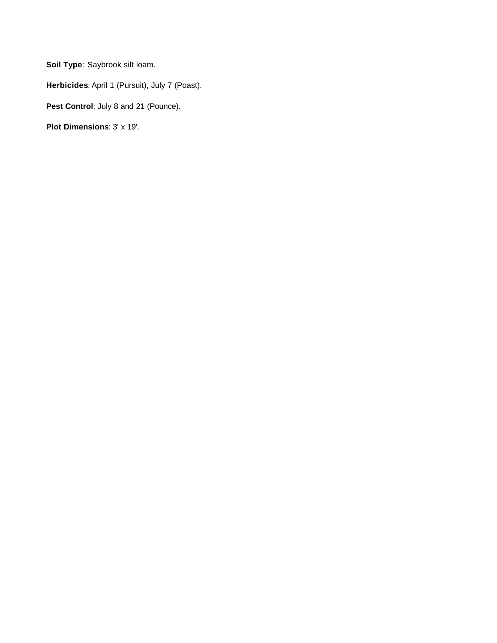**Soil Type**: Saybrook silt loam.

**Herbicides**: April 1 (Pursuit), July 7 (Poast).

Pest Control: July 8 and 21 (Pounce).

**Plot Dimensions**: 3' x 19'.